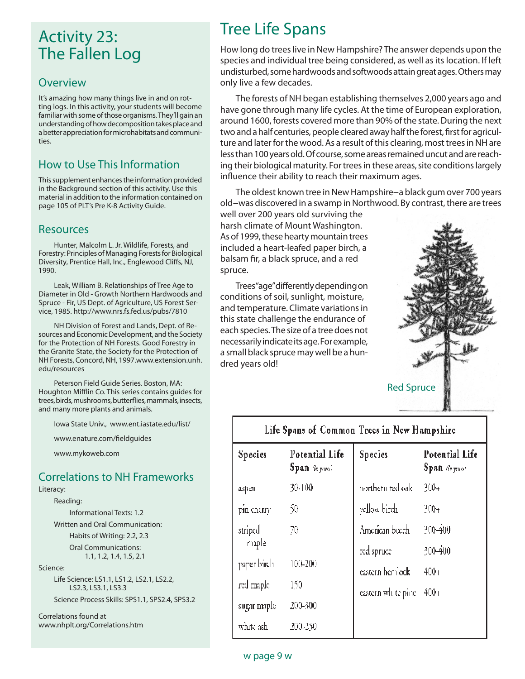## Activity 23: The Fallen Log

#### **Overview**

It's amazing how many things live in and on rotting logs. In this activity, your students will become familiar with some of those organisms. They'll gain an understanding of how decomposition takes place and a better appreciation for microhabitats and communities.

## How to Use This Information

This supplement enhances the information provided in the Background section of this activity. Use this material in addition to the information contained on page 105 of PLT's Pre K-8 Activity Guide.

#### Resources

Hunter, Malcolm L. Jr. Wildlife, Forests, and Forestry: Principles of Managing Forests for Biological Diversity, Prentice Hall, Inc., Englewood Cliffs, NJ, 1990.

Leak, William B. Relationships of Tree Age to Diameter in Old - Growth Northern Hardwoods and Spruce - Fir, US Dept. of Agriculture, US Forest Service, 1985. http://www.nrs.fs.fed.us/pubs/7810

NH Division of Forest and Lands, Dept. of Resources and Economic Development, and the Society for the Protection of NH Forests. Good Forestry in the Granite State, the Society for the Protection of NH Forests, Concord, NH, 1997.www.extension.unh. edu/resources

Peterson Field Guide Series. Boston, MA: Houghton Mifflin Co. This series contains guides for trees, birds, mushrooms, butterflies, mammals, insects, and many more plants and animals.

Iowa State Univ., www.ent.iastate.edu/list/

www.enature.com/fieldguides

www.mykoweb.com

### Correlations to NH Frameworks

Literacy:

Reading:

Informational Texts: 1.2

 Written and Oral Communication: Habits of Writing: 2.2, 2.3 Oral Communications: 1.1, 1.2, 1.4, 1.5, 2.1

Science:

 Life Science: LS1.1, LS1.2, LS2.1, LS2.2, LS2.3, LS3.1, LS3.3 Science Process Skills: SPS1.1, SPS2.4, SPS3.2

Correlations found at www.nhplt.org/Correlations.htm

# Tree Life Spans

How long do trees live in New Hampshire? The answer depends upon the species and individual tree being considered, as well as its location. If left undisturbed, some hardwoods and softwoods attain great ages. Others may only live a few decades.

The forests of NH began establishing themselves 2,000 years ago and have gone through many life cycles. At the time of European exploration, around 1600, forests covered more than 90% of the state. During the next two and a half centuries, people cleared away half the forest, first for agriculture and later for the wood. As a result of this clearing, most trees in NH are less than 100 years old. Of course, some areas remained uncut and are reaching their biological maturity. For trees in these areas, site conditions largely influence their ability to reach their maximum ages.

The oldest known tree in New Hampshire−a black gum over 700 years old−was discovered in a swamp in Northwood. By contrast, there are trees

well over 200 years old surviving the harsh climate of Mount Washington. As of 1999, these hearty mountain trees included a heart-leafed paper birch, a balsam fir, a black spruce, and a red spruce.

Trees "age" differently depending on conditions of soil, sunlight, moisture, and temperature. Climate variations in this state challenge the endurance of each species. The size of a tree does not necessarily indicate its age. For example, a small black spruce may well be a hundred years old!



| Life Spans of Common Trees in New Hampshire |                                          |                              |                                                                       |  |
|---------------------------------------------|------------------------------------------|------------------------------|-----------------------------------------------------------------------|--|
| Species                                     | Potential Life<br>$Span$ $\omega$ years) | Species                      | Potential Life<br>$Span \langle \mathcal{E}_{n, \text{even}} \rangle$ |  |
| aspen                                       | 30-100                                   | tiorthern red oak            | 300+                                                                  |  |
| pin cherry                                  | 50                                       | yellow birch                 | 300+                                                                  |  |
| striped<br>maple                            | 70                                       | American beech<br>red spruce | 300-400<br>300-400                                                    |  |
| paper birch                                 | 100-200                                  | eastern hemlock              | 400 <sub>1</sub>                                                      |  |
| red maple                                   | 150                                      | eastern white pine           | 400 <sub>1</sub>                                                      |  |
| sugar maple                                 | 200-300                                  |                              |                                                                       |  |
| white ash                                   | 200-250                                  |                              |                                                                       |  |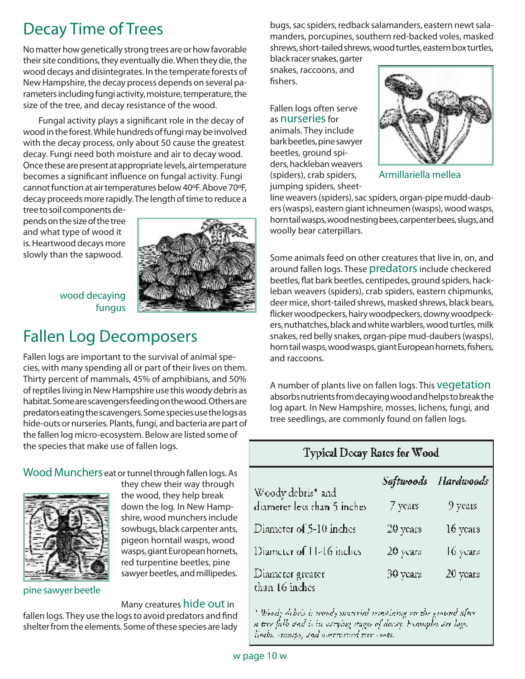# Decay Time of Trees

No matter how genetically strong trees are or how favorable their site conditions, they eventually die. When they die, the wood decays and disintegrates. In the temperate forests of New Hampshire, the decay process depends on several parameters including fungi activity, moisture, temperature, the size of the tree, and decay resistance of the wood.

Fungal activity plays a significant role in the decay of wood in the forest. While hundreds of fungi may be involved with the decay process, only about 50 cause the greatest decay. Fungi need both moisture and air to decay wood. Once these are present at appropriate levels, air temperature becomes a significant influence on fungal activity. Fungi cannot function at air temperatures below 40ºF. Above 70ºF, decay proceeds more rapidly. The length of time to reduce a

tree to soil components depends on the size of the tree and what type of wood it is. Heartwood decays more slowly than the sapwood.



#### wood decaying fungus

## Fallen Log Decomposers

Fallen logs are important to the survival of animal species, with many spending all or part of their lives on them. Thirty percent of mammals, 45% of amphibians, and 50% of reptiles living in New Hampshire use this woody debris as habitat. Some are scavengers feeding on the wood. Others are predators eating the scavengers. Some species use the logs as hide-outs or nurseries. Plants, fungi, and bacteria are part of the fallen log micro-ecosystem. Below are listed some of the species that make use of fallen logs.

#### Wood Munchers eat or tunnel through fallen logs. As



they chew their way through the wood, they help break down the log. In New Hampshire, wood munchers include sowbugs, black carpenter ants, pigeon horntail wasps, wood wasps, giant European hornets, red turpentine beetles, pine sawyer beetles, and millipedes.

#### Many creatures hide out in

fallen logs. They use the logs to avoid predators and find shelter from the elements. Some of these species are lady bugs, sac spiders, redback salamanders, eastern newt salamanders, porcupines, southern red-backed voles, masked shrews, short-tailed shrews, wood turtles, eastern box turtles,

black racer snakes, garter snakes, raccoons, and fishers.

Fallen logs often serve as nurseries for animals. They include bark beetles, pine sawyer beetles, ground spiders, hackleban weavers (spiders), crab spiders, jumping spiders, sheet-



Armillariella mellea

line weavers (spiders), sac spiders, organ-pipe mudd-daubers (wasps), eastern giant ichneumen (wasps), wood wasps, horn tail wasps, wood nesting bees, carpenter bees, slugs, and woolly bear caterpillars.

Some animals feed on other creatures that live in, on, and around fallen logs. These predators include checkered beetles, flat bark beetles, centipedes, ground spiders, hackleban weavers (spiders), crab spiders, eastern chipmunks, deer mice, short-tailed shrews, masked shrews, black bears, flicker woodpeckers, hairy woodpeckers, downy woodpeckers, nuthatches, black and white warblers, wood turtles, milk snakes, red belly snakes, organ-pipe mud-daubers (wasps), horn tail wasps, wood wasps, giant European hornets, fishers, and raccoons.

A number of plants live on fallen logs. This vegetation absorbs nutrients from decaying wood and helps to break the log apart. In New Hampshire, mosses, lichens, fungi, and tree seedlings, are commonly found on fallen logs.

## Typical Decay Rates for Wood

|                                                  | Softwoods | Hardwoods |
|--------------------------------------------------|-----------|-----------|
| Woody debris* and<br>diameter less than 5 inches | 7 years   | 9 years   |
| Diameter of 5-10 inches                          | 20 years  | 16 years  |
| Diameter of 11-16 inches                         | 20 years  | 16 years  |
| Diameter greater<br>than 16 inches               | 30 years  | 20 years  |

<sup>8</sup> Woody debris is woody mawrial mastining on the ground after. n tree falls and is in corrying stages of descry. Examples our logs. linda, annas, snd overnaturd tur costi.